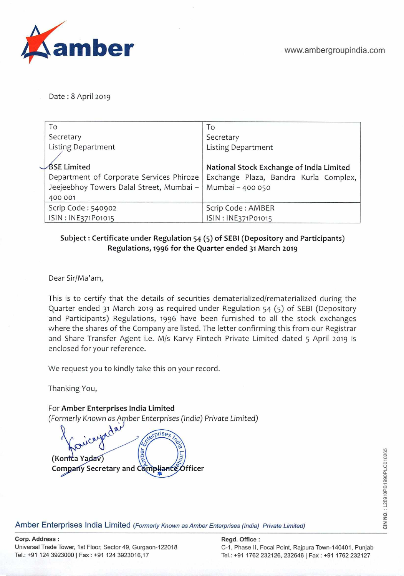

Date: 8 April 2019

| To                                       | To                                       |
|------------------------------------------|------------------------------------------|
| Secretary                                | Secretary                                |
| <b>Listing Department</b>                | <b>Listing Department</b>                |
|                                          |                                          |
| <b>BSE Limited</b>                       | National Stock Exchange of India Limited |
| Department of Corporate Services Phiroze | Exchange Plaza, Bandra Kurla Complex,    |
| Jeejeebhoy Towers Dalal Street, Mumbai - | Mumbai - 400 050                         |
| 400 001                                  |                                          |
| Scrip Code: 540902                       | Scrip Code: AMBER                        |
| ISIN: INE371P01015                       | ISIN: INE371P01015                       |

## Subject: Certificate under Regulation 54 (5) of SEBI (Depository and Participants) **Regulations, 1996 for the Quarter ended 31 March 2019**

Dear Sir/Ma'am,

This is to certify that the details of securities dematerialized/rematerialized during the Quarter ended 31 March 2019 as required under Regulation 54 (5) of SEBI (Depository and Participants) Regulations, 1996 have been furnished to all the stock exchanges where the shares of the Company are listed. The letter confirming this from our Registrar and Share Transfer Agent i.e. M/s Karvy Fintech Private Limited dated 5 April 2019 is enclosed for your reference.

We request you to kindly take this on your record.

Thanking You,

For **Amber Enterprises India Limited** 

*(Formerly* Known *as Açnber* Enterprises (India) *Private Limited)* 

*sprises* ber (Kontca Yadav) **Company Secretary and Compliance Officer** 

Amber Enterprises India Limited (Formerly Known as Amber Enterprises (India) Private Limited)

Tel.: +91 124 3923000 I Fax: +91 124 3923016,17 Tel.: +91 1762232126,2326461 Fax: +91 1762232127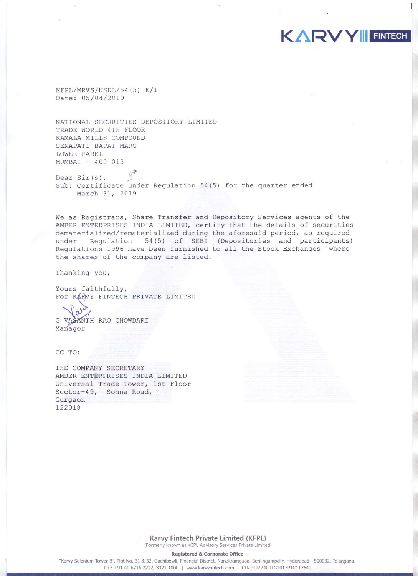KFPL/MRVS/NSDL/54(5) E/1 Date: 05/04/2019

NATIONAL SECURITIES DEPOSITORY LIMITED TRADE WORLD 4TH FLOOR KAMALA MILLS COMPOUND SENAPATI BAPAT MARG LOWER PAREL MUMBAI - 400 013

Dear  $Sir(s)$ , Sub: Certificate under Regulation 54(5) for the quarter ended March 31, 2019

We as Registrars, Share Transfer and Depository Services agents of the AMBER ENTERPRISES INDIA LIMITED, certify that the details of securities dematerialized/rematerialized during the aforesaid period, as required under Regulation 54(5) of SEBI (Depositories and participants) Regulations 1996 have been furnished to all the Stock Exchanges where the shares of the company are listed.

KARVY FINTECH

Thanking you,

Yours faithfully, For KARVY FINTECH PRIVATE LIMITED

G VASANTH RAO CHOWDARI Manager

CC TO:

THE COMPANY SECRETARY AMBER ENTERPRISES INDIA LIMITED Universal Trade Tower, 1st Floor Sector-49, Sohna Road, Gurgaon 122018

> Karvy Fintech Private Limited (KFPL) (Formerly known as KCPL Advisory Services Private Limited)

> > **Registered & Corporate Office**

"Karvy Selenium Tower-B", Plot No. 31 & 32, Gachibowli, Financial District, Nanakramguda, Serilingampally, Hyderabad - 500032, Telangana. Ph: +91 40 6716 2222, 3321 1000 | www.karvyfintech.com | CIN: U72400TG2017PTC117649